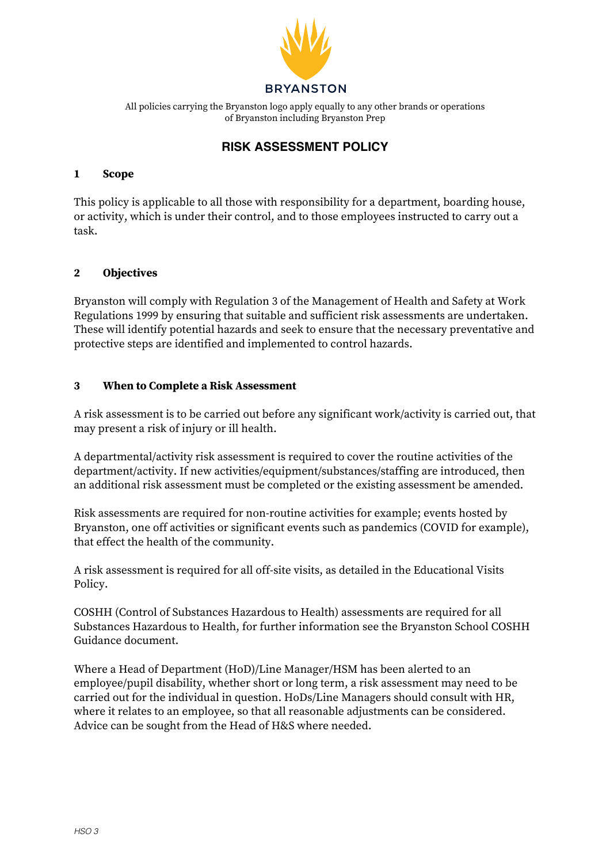

**Bryanston School** of Bryanston including Bryanston Prep Blandford All policies carrying the Bryanston logo apply equally to any other brands or operations

#### $\overline{\phantom{0}}$ RISK ASSESSMENT POLICY

## **1 Scope**

This policy is applicable to all those with responsibility for a department, boarding house, or activity, which is under their control, and to those employees instructed to carry out a task.

# **2 Objectives**

Bryanston will comply with Regulation 3 of the Management of Health and Safety at Work Regulations 1999 by ensuring that suitable and sufficient risk assessments are undertaken. These will identify potential hazards and seek to ensure that the necessary preventative and protective steps are identified and implemented to control hazards.

## **3 When to Complete a Risk Assessment**

A risk assessment is to be carried out before any significant work/activity is carried out, that may present a risk of injury or ill health.

A departmental/activity risk assessment is required to cover the routine activities of the department/activity. If new activities/equipment/substances/staffing are introduced, then an additional risk assessment must be completed or the existing assessment be amended.

Risk assessments are required for non-routine activities for example; events hosted by Bryanston, one off activities or significant events such as pandemics (COVID for example), that effect the health of the community.

A risk assessment is required for all off-site visits, as detailed in the Educational Visits Policy.

COSHH (Control of Substances Hazardous to Health) assessments are required for all Substances Hazardous to Health, for further information see the Bryanston School COSHH Guidance document.

Where a Head of Department (HoD)/Line Manager/HSM has been alerted to an employee/pupil disability, whether short or long term, a risk assessment may need to be carried out for the individual in question. HoDs/Line Managers should consult with HR, where it relates to an employee, so that all reasonable adjustments can be considered. Advice can be sought from the Head of H&S where needed.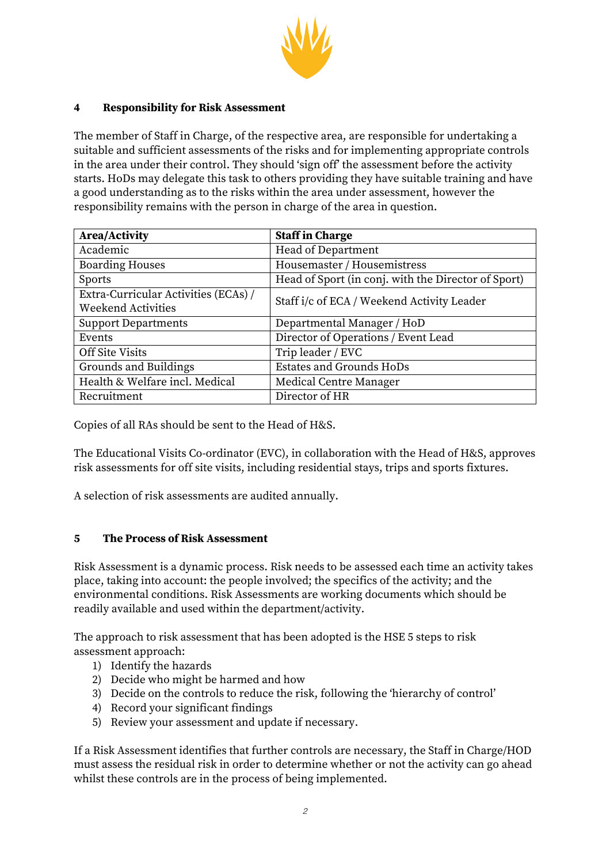

## **4 Responsibility for Risk Assessment**

The member of Staff in Charge, of the respective area, are responsible for undertaking a suitable and sufficient assessments of the risks and for implementing appropriate controls in the area under their control. They should 'sign off' the assessment before the activity starts. HoDs may delegate this task to others providing they have suitable training and have a good understanding as to the risks within the area under assessment, however the responsibility remains with the person in charge of the area in question.

| <b>Area/Activity</b>                 | <b>Staff in Charge</b>                              |
|--------------------------------------|-----------------------------------------------------|
| Academic                             | Head of Department                                  |
| <b>Boarding Houses</b>               | Housemaster / Housemistress                         |
| <b>Sports</b>                        | Head of Sport (in conj. with the Director of Sport) |
| Extra-Curricular Activities (ECAs) / | Staff i/c of ECA / Weekend Activity Leader          |
| <b>Weekend Activities</b>            |                                                     |
| <b>Support Departments</b>           | Departmental Manager / HoD                          |
| Events                               | Director of Operations / Event Lead                 |
| Off Site Visits                      | Trip leader / EVC                                   |
| Grounds and Buildings                | <b>Estates and Grounds HoDs</b>                     |
| Health & Welfare incl. Medical       | <b>Medical Centre Manager</b>                       |
| Recruitment                          | Director of HR                                      |

Copies of all RAs should be sent to the Head of H&S.

The Educational Visits Co-ordinator (EVC), in collaboration with the Head of H&S, approves risk assessments for off site visits, including residential stays, trips and sports fixtures.

A selection of risk assessments are audited annually.

#### **5 The Process of Risk Assessment**

Risk Assessment is a dynamic process. Risk needs to be assessed each time an activity takes place, taking into account: the people involved; the specifics of the activity; and the environmental conditions. Risk Assessments are working documents which should be readily available and used within the department/activity.

The approach to risk assessment that has been adopted is the HSE 5 steps to risk assessment approach:

- 1) Identify the hazards
- 2) Decide who might be harmed and how
- 3) Decide on the controls to reduce the risk, following the 'hierarchy of control'
- 4) Record your significant findings
- 5) Review your assessment and update if necessary.

If a Risk Assessment identifies that further controls are necessary, the Staff in Charge/HOD must assess the residual risk in order to determine whether or not the activity can go ahead whilst these controls are in the process of being implemented.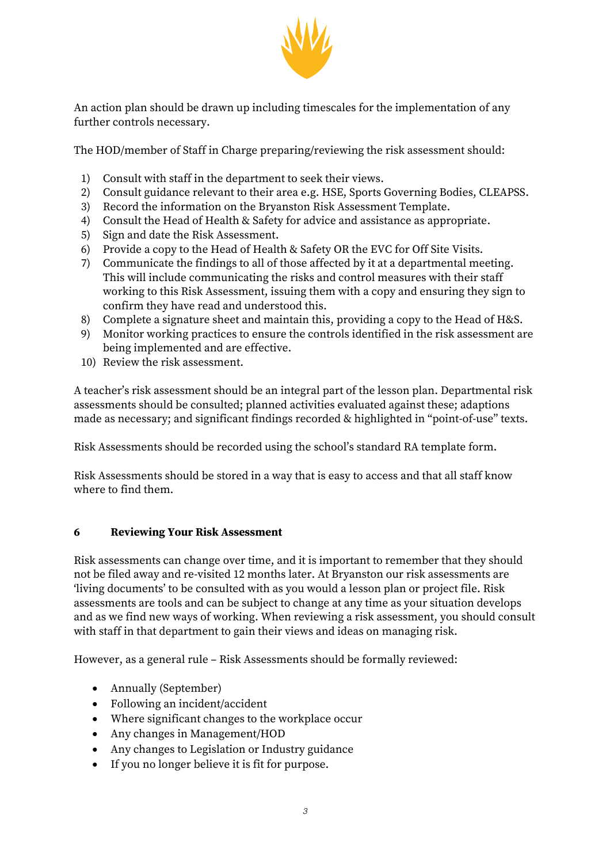

An action plan should be drawn up including timescales for the implementation of any further controls necessary.

The HOD/member of Staff in Charge preparing/reviewing the risk assessment should:

- 1) Consult with staff in the department to seek their views.
- 2) Consult guidance relevant to their area e.g. HSE, Sports Governing Bodies, CLEAPSS.
- 3) Record the information on the Bryanston Risk Assessment Template.
- 4) Consult the Head of Health & Safety for advice and assistance as appropriate.
- 5) Sign and date the Risk Assessment.
- 6) Provide a copy to the Head of Health & Safety OR the EVC for Off Site Visits.
- 7) Communicate the findings to all of those affected by it at a departmental meeting. This will include communicating the risks and control measures with their staff working to this Risk Assessment, issuing them with a copy and ensuring they sign to confirm they have read and understood this.
- 8) Complete a signature sheet and maintain this, providing a copy to the Head of H&S.
- 9) Monitor working practices to ensure the controls identified in the risk assessment are being implemented and are effective.
- 10) Review the risk assessment.

A teacher's risk assessment should be an integral part of the lesson plan. Departmental risk assessments should be consulted; planned activities evaluated against these; adaptions made as necessary; and significant findings recorded & highlighted in "point-of-use" texts.

Risk Assessments should be recorded using the school's standard RA template form.

Risk Assessments should be stored in a way that is easy to access and that all staff know where to find them.

#### **6 Reviewing Your Risk Assessment**

Risk assessments can change over time, and it is important to remember that they should not be filed away and re-visited 12 months later. At Bryanston our risk assessments are 'living documents' to be consulted with as you would a lesson plan or project file. Risk assessments are tools and can be subject to change at any time as your situation develops and as we find new ways of working. When reviewing a risk assessment, you should consult with staff in that department to gain their views and ideas on managing risk.

However, as a general rule – Risk Assessments should be formally reviewed:

- Annually (September)
- Following an incident/accident
- Where significant changes to the workplace occur
- Any changes in Management/HOD
- Any changes to Legislation or Industry guidance
- If you no longer believe it is fit for purpose.